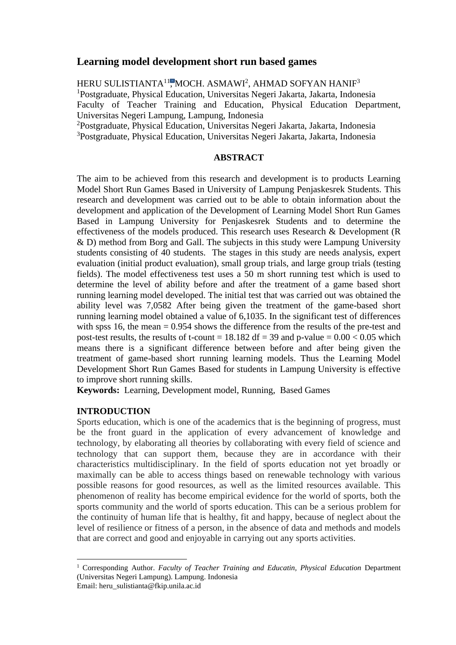# **Learning model development short run based games**

HERU SULISTIANTA<sup>11</sup>, MOCH. ASMAWI<sup>2</sup>, AHMAD SOFYAN HANIF<sup>3</sup> <sup>1</sup>Postgraduate, Physical Education, Universitas Negeri Jakarta, Jakarta, Indonesia Faculty of Teacher Training and Education, Physical Education Department, Universitas Negeri Lampung, Lampung, Indonesia

<sup>2</sup>Postgraduate, Physical Education, Universitas Negeri Jakarta, Jakarta, Indonesia <sup>3</sup>Postgraduate, Physical Education, Universitas Negeri Jakarta, Jakarta, Indonesia

# **ABSTRACT**

The aim to be achieved from this research and development is to products Learning Model Short Run Games Based in University of Lampung Penjaskesrek Students. This research and development was carried out to be able to obtain information about the development and application of the Development of Learning Model Short Run Games Based in Lampung University for Penjaskesrek Students and to determine the effectiveness of the models produced. This research uses Research & Development (R & D) method from Borg and Gall. The subjects in this study were Lampung University students consisting of 40 students. The stages in this study are needs analysis, expert evaluation (initial product evaluation), small group trials, and large group trials (testing fields). The model effectiveness test uses a 50 m short running test which is used to determine the level of ability before and after the treatment of a game based short running learning model developed. The initial test that was carried out was obtained the ability level was 7,0582 After being given the treatment of the game-based short running learning model obtained a value of 6,1035. In the significant test of differences with spss 16, the mean = 0.954 shows the difference from the results of the pre-test and post-test results, the results of t-count  $= 18.182$  df  $= 39$  and p-value  $= 0.00 < 0.05$  which means there is a significant difference between before and after being given the treatment of game-based short running learning models. Thus the Learning Model Development Short Run Games Based for students in Lampung University is effective to improve short running skills.

**Keywords:** Learning, Development model, Running, Based Games

# **INTRODUCTION**

Sports education, which is one of the academics that is the beginning of progress, must be the front guard in the application of every advancement of knowledge and technology, by elaborating all theories by collaborating with every field of science and technology that can support them, because they are in accordance with their characteristics multidisciplinary. In the field of sports education not yet broadly or maximally can be able to access things based on renewable technology with various possible reasons for good resources, as well as the limited resources available. This phenomenon of reality has become empirical evidence for the world of sports, both the sports community and the world of sports education. This can be a serious problem for the continuity of human life that is healthy, fit and happy, because of neglect about the level of resilience or fitness of a person, in the absence of data and methods and models that are correct and good and enjoyable in carrying out any sports activities.

<sup>1</sup> Corresponding Author. *Faculty of Teacher Training and Educatin, Physical Education* Department (Universitas Negeri Lampung). Lampung. Indonesia Email: heru\_sulistianta@fkip.unila.ac.id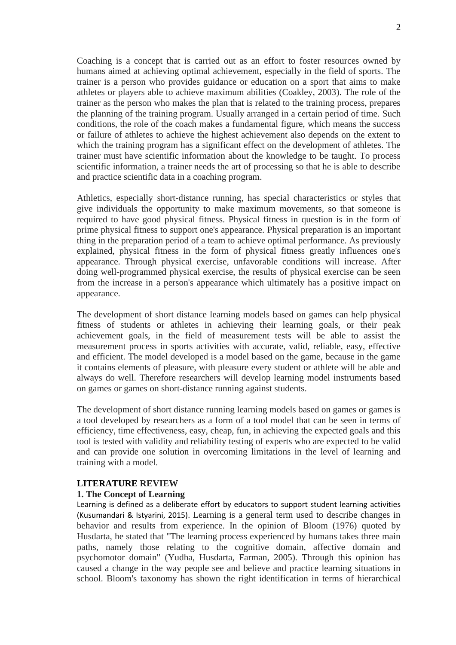Coaching is a concept that is carried out as an effort to foster resources owned by humans aimed at achieving optimal achievement, especially in the field of sports. The trainer is a person who provides guidance or education on a sport that aims to make athletes or players able to achieve maximum abilities (Coakley, 2003). The role of the trainer as the person who makes the plan that is related to the training process, prepares the planning of the training program. Usually arranged in a certain period of time. Such conditions, the role of the coach makes a fundamental figure, which means the success or failure of athletes to achieve the highest achievement also depends on the extent to which the training program has a significant effect on the development of athletes. The trainer must have scientific information about the knowledge to be taught. To process scientific information, a trainer needs the art of processing so that he is able to describe and practice scientific data in a coaching program.

Athletics, especially short-distance running, has special characteristics or styles that give individuals the opportunity to make maximum movements, so that someone is required to have good physical fitness. Physical fitness in question is in the form of prime physical fitness to support one's appearance. Physical preparation is an important thing in the preparation period of a team to achieve optimal performance. As previously explained, physical fitness in the form of physical fitness greatly influences one's appearance. Through physical exercise, unfavorable conditions will increase. After doing well-programmed physical exercise, the results of physical exercise can be seen from the increase in a person's appearance which ultimately has a positive impact on appearance.

The development of short distance learning models based on games can help physical fitness of students or athletes in achieving their learning goals, or their peak achievement goals, in the field of measurement tests will be able to assist the measurement process in sports activities with accurate, valid, reliable, easy, effective and efficient. The model developed is a model based on the game, because in the game it contains elements of pleasure, with pleasure every student or athlete will be able and always do well. Therefore researchers will develop learning model instruments based on games or games on short-distance running against students.

The development of short distance running learning models based on games or games is a tool developed by researchers as a form of a tool model that can be seen in terms of efficiency, time effectiveness, easy, cheap, fun, in achieving the expected goals and this tool is tested with validity and reliability testing of experts who are expected to be valid and can provide one solution in overcoming limitations in the level of learning and training with a model.

# **LITERATURE REVIEW**

# **1. The Concept of Learning**

Learning is defined as a deliberate effort by educators to support student learning activities (Kusumandari & Istyarini, 2015). Learning is a general term used to describe changes in behavior and results from experience. In the opinion of Bloom (1976) quoted by Husdarta, he stated that "The learning process experienced by humans takes three main paths, namely those relating to the cognitive domain, affective domain and psychomotor domain" (Yudha, Husdarta, Farman, 2005). Through this opinion has caused a change in the way people see and believe and practice learning situations in school. Bloom's taxonomy has shown the right identification in terms of hierarchical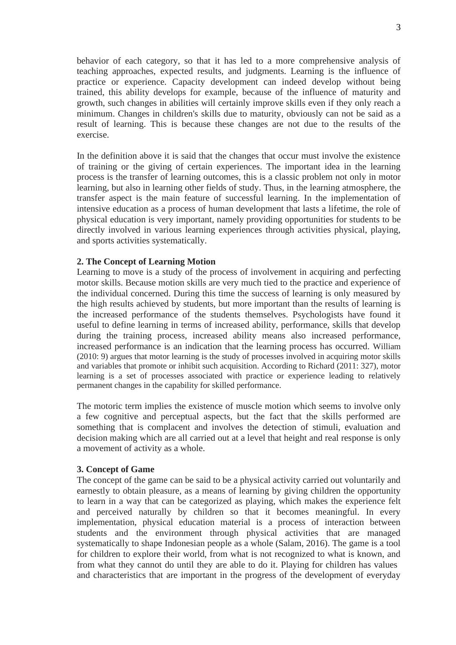behavior of each category, so that it has led to a more comprehensive analysis of teaching approaches, expected results, and judgments. Learning is the influence of practice or experience. Capacity development can indeed develop without being trained, this ability develops for example, because of the influence of maturity and growth, such changes in abilities will certainly improve skills even if they only reach a minimum. Changes in children's skills due to maturity, obviously can not be said as a result of learning. This is because these changes are not due to the results of the exercise.

In the definition above it is said that the changes that occur must involve the existence of training or the giving of certain experiences. The important idea in the learning process is the transfer of learning outcomes, this is a classic problem not only in motor learning, but also in learning other fields of study. Thus, in the learning atmosphere, the transfer aspect is the main feature of successful learning. In the implementation of intensive education as a process of human development that lasts a lifetime, the role of physical education is very important, namely providing opportunities for students to be directly involved in various learning experiences through activities physical, playing, and sports activities systematically.

### **2. The Concept of Learning Motion**

Learning to move is a study of the process of involvement in acquiring and perfecting motor skills. Because motion skills are very much tied to the practice and experience of the individual concerned. During this time the success of learning is only measured by the high results achieved by students, but more important than the results of learning is the increased performance of the students themselves. Psychologists have found it useful to define learning in terms of increased ability, performance, skills that develop during the training process, increased ability means also increased performance, increased performance is an indication that the learning process has occurred. William (2010: 9) argues that motor learning is the study of processes involved in acquiring motor skills and variables that promote or inhibit such acquisition. According to Richard (2011: 327), motor learning is a set of processes associated with practice or experience leading to relatively permanent changes in the capability for skilled performance.

The motoric term implies the existence of muscle motion which seems to involve only a few cognitive and perceptual aspects, but the fact that the skills performed are something that is complacent and involves the detection of stimuli, evaluation and decision making which are all carried out at a level that height and real response is only a movement of activity as a whole.

# **3. Concept of Game**

The concept of the game can be said to be a physical activity carried out voluntarily and earnestly to obtain pleasure, as a means of learning by giving children the opportunity to learn in a way that can be categorized as playing, which makes the experience felt and perceived naturally by children so that it becomes meaningful. In every implementation, physical education material is a process of interaction between students and the environment through physical activities that are managed systematically to shape Indonesian people as a whole (Salam, 2016). The game is a tool for children to explore their world, from what is not recognized to what is known, and from what they cannot do until they are able to do it. Playing for children has values and characteristics that are important in the progress of the development of everyday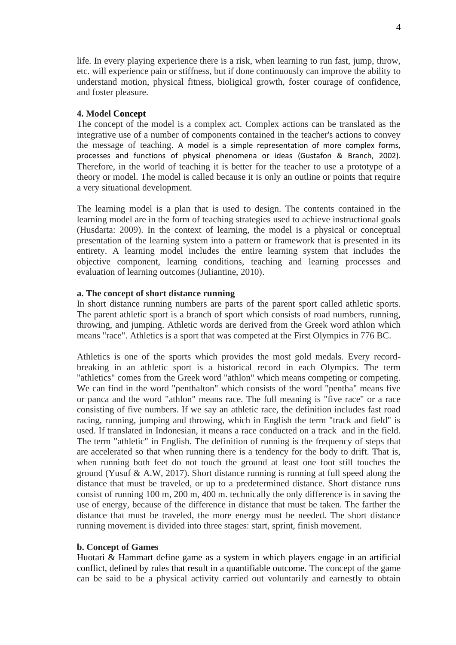life. In every playing experience there is a risk, when learning to run fast, jump, throw, etc. will experience pain or stiffness, but if done continuously can improve the ability to understand motion, physical fitness, bioligical growth, foster courage of confidence, and foster pleasure.

### **4. Model Concept**

The concept of the model is a complex act. Complex actions can be translated as the integrative use of a number of components contained in the teacher's actions to convey the message of teaching. A model is a simple representation of more complex forms, processes and functions of physical phenomena or ideas (Gustafon & Branch, 2002). Therefore, in the world of teaching it is better for the teacher to use a prototype of a theory or model. The model is called because it is only an outline or points that require a very situational development.

The learning model is a plan that is used to design. The contents contained in the learning model are in the form of teaching strategies used to achieve instructional goals (Husdarta: 2009). In the context of learning, the model is a physical or conceptual presentation of the learning system into a pattern or framework that is presented in its entirety. A learning model includes the entire learning system that includes the objective component, learning conditions, teaching and learning processes and evaluation of learning outcomes (Juliantine, 2010).

### **a. The concept of short distance running**

In short distance running numbers are parts of the parent sport called athletic sports. The parent athletic sport is a branch of sport which consists of road numbers, running, throwing, and jumping. Athletic words are derived from the Greek word athlon which means "race". Athletics is a sport that was competed at the First Olympics in 776 BC.

Athletics is one of the sports which provides the most gold medals. Every recordbreaking in an athletic sport is a historical record in each Olympics. The term "athletics" comes from the Greek word "athlon" which means competing or competing. We can find in the word "penthalton" which consists of the word "pentha" means five or panca and the word "athlon" means race. The full meaning is "five race" or a race consisting of five numbers. If we say an athletic race, the definition includes fast road racing, running, jumping and throwing, which in English the term "track and field" is used. If translated in Indonesian, it means a race conducted on a track and in the field. The term "athletic" in English. The definition of running is the frequency of steps that are accelerated so that when running there is a tendency for the body to drift. That is, when running both feet do not touch the ground at least one foot still touches the ground (Yusuf  $\&$  A.W, 2017). Short distance running is running at full speed along the distance that must be traveled, or up to a predetermined distance. Short distance runs consist of running 100 m, 200 m, 400 m. technically the only difference is in saving the use of energy, because of the difference in distance that must be taken. The farther the distance that must be traveled, the more energy must be needed. The short distance running movement is divided into three stages: start, sprint, finish movement.

# **b. Concept of Games**

Huotari & Hammart define game as a system in which players engage in an artificial conflict, defined by rules that result in a quantifiable outcome. The concept of the game can be said to be a physical activity carried out voluntarily and earnestly to obtain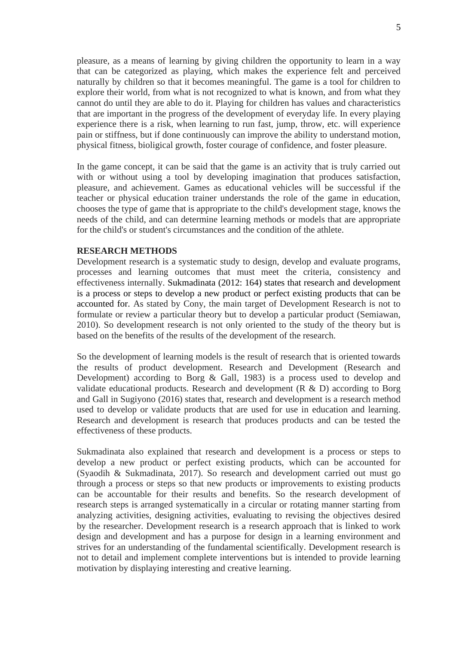pleasure, as a means of learning by giving children the opportunity to learn in a way that can be categorized as playing, which makes the experience felt and perceived naturally by children so that it becomes meaningful. The game is a tool for children to explore their world, from what is not recognized to what is known, and from what they cannot do until they are able to do it. Playing for children has values and characteristics that are important in the progress of the development of everyday life. In every playing experience there is a risk, when learning to run fast, jump, throw, etc. will experience pain or stiffness, but if done continuously can improve the ability to understand motion, physical fitness, bioligical growth, foster courage of confidence, and foster pleasure.

In the game concept, it can be said that the game is an activity that is truly carried out with or without using a tool by developing imagination that produces satisfaction, pleasure, and achievement. Games as educational vehicles will be successful if the teacher or physical education trainer understands the role of the game in education, chooses the type of game that is appropriate to the child's development stage, knows the needs of the child, and can determine learning methods or models that are appropriate for the child's or student's circumstances and the condition of the athlete.

# **RESEARCH METHODS**

Development research is a systematic study to design, develop and evaluate programs, processes and learning outcomes that must meet the criteria, consistency and effectiveness internally. Sukmadinata (2012: 164) states that research and development is a process or steps to develop a new product or perfect existing products that can be accounted for. As stated by Cony, the main target of Development Research is not to formulate or review a particular theory but to develop a particular product (Semiawan, 2010). So development research is not only oriented to the study of the theory but is based on the benefits of the results of the development of the research.

So the development of learning models is the result of research that is oriented towards the results of product development. Research and Development (Research and Development) according to Borg & Gall, 1983) is a process used to develop and validate educational products. Research and development (R & D) according to Borg and Gall in Sugiyono (2016) states that, research and development is a research method used to develop or validate products that are used for use in education and learning. Research and development is research that produces products and can be tested the effectiveness of these products.

Sukmadinata also explained that research and development is a process or steps to develop a new product or perfect existing products, which can be accounted for (Syaodih & Sukmadinata, 2017). So research and development carried out must go through a process or steps so that new products or improvements to existing products can be accountable for their results and benefits. So the research development of research steps is arranged systematically in a circular or rotating manner starting from analyzing activities, designing activities, evaluating to revising the objectives desired by the researcher. Development research is a research approach that is linked to work design and development and has a purpose for design in a learning environment and strives for an understanding of the fundamental scientifically. Development research is not to detail and implement complete interventions but is intended to provide learning motivation by displaying interesting and creative learning.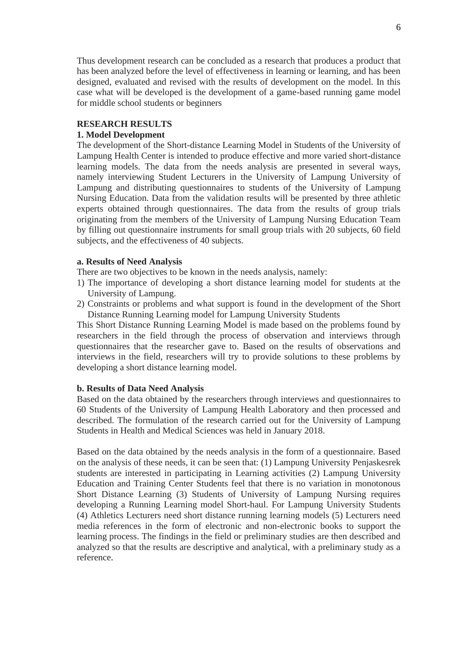Thus development research can be concluded as a research that produces a product that has been analyzed before the level of effectiveness in learning or learning, and has been designed, evaluated and revised with the results of development on the model. In this case what will be developed is the development of a game-based running game model for middle school students or beginners

# **RESEARCH RESULTS**

#### **1. Model Development**

The development of the Short-distance Learning Model in Students of the University of Lampung Health Center is intended to produce effective and more varied short-distance learning models. The data from the needs analysis are presented in several ways, namely interviewing Student Lecturers in the University of Lampung University of Lampung and distributing questionnaires to students of the University of Lampung Nursing Education. Data from the validation results will be presented by three athletic experts obtained through questionnaires. The data from the results of group trials originating from the members of the University of Lampung Nursing Education Team by filling out questionnaire instruments for small group trials with 20 subjects, 60 field subjects, and the effectiveness of 40 subjects.

#### **a. Results of Need Analysis**

There are two objectives to be known in the needs analysis, namely:

- 1) The importance of developing a short distance learning model for students at the University of Lampung.
- 2) Constraints or problems and what support is found in the development of the Short Distance Running Learning model for Lampung University Students

This Short Distance Running Learning Model is made based on the problems found by researchers in the field through the process of observation and interviews through questionnaires that the researcher gave to. Based on the results of observations and interviews in the field, researchers will try to provide solutions to these problems by developing a short distance learning model.

### **b. Results of Data Need Analysis**

Based on the data obtained by the researchers through interviews and questionnaires to 60 Students of the University of Lampung Health Laboratory and then processed and described. The formulation of the research carried out for the University of Lampung Students in Health and Medical Sciences was held in January 2018.

Based on the data obtained by the needs analysis in the form of a questionnaire. Based on the analysis of these needs, it can be seen that: (1) Lampung University Penjaskesrek students are interested in participating in Learning activities (2) Lampung University Education and Training Center Students feel that there is no variation in monotonous Short Distance Learning (3) Students of University of Lampung Nursing requires developing a Running Learning model Short-haul. For Lampung University Students (4) Athletics Lecturers need short distance running learning models (5) Lecturers need media references in the form of electronic and non-electronic books to support the learning process. The findings in the field or preliminary studies are then described and analyzed so that the results are descriptive and analytical, with a preliminary study as a reference.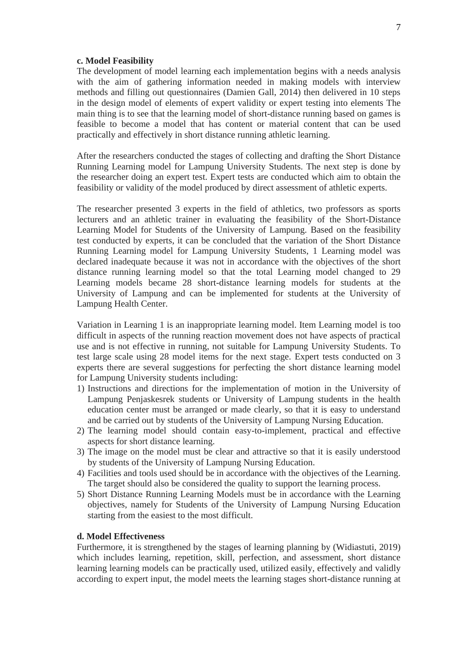#### **c. Model Feasibility**

The development of model learning each implementation begins with a needs analysis with the aim of gathering information needed in making models with interview methods and filling out questionnaires (Damien Gall, 2014) then delivered in 10 steps in the design model of elements of expert validity or expert testing into elements The main thing is to see that the learning model of short-distance running based on games is feasible to become a model that has content or material content that can be used practically and effectively in short distance running athletic learning.

After the researchers conducted the stages of collecting and drafting the Short Distance Running Learning model for Lampung University Students. The next step is done by the researcher doing an expert test. Expert tests are conducted which aim to obtain the feasibility or validity of the model produced by direct assessment of athletic experts.

The researcher presented 3 experts in the field of athletics, two professors as sports lecturers and an athletic trainer in evaluating the feasibility of the Short-Distance Learning Model for Students of the University of Lampung. Based on the feasibility test conducted by experts, it can be concluded that the variation of the Short Distance Running Learning model for Lampung University Students, 1 Learning model was declared inadequate because it was not in accordance with the objectives of the short distance running learning model so that the total Learning model changed to 29 Learning models became 28 short-distance learning models for students at the University of Lampung and can be implemented for students at the University of Lampung Health Center.

Variation in Learning 1 is an inappropriate learning model. Item Learning model is too difficult in aspects of the running reaction movement does not have aspects of practical use and is not effective in running, not suitable for Lampung University Students. To test large scale using 28 model items for the next stage. Expert tests conducted on 3 experts there are several suggestions for perfecting the short distance learning model for Lampung University students including:

- 1) Instructions and directions for the implementation of motion in the University of Lampung Penjaskesrek students or University of Lampung students in the health education center must be arranged or made clearly, so that it is easy to understand and be carried out by students of the University of Lampung Nursing Education.
- 2) The learning model should contain easy-to-implement, practical and effective aspects for short distance learning.
- 3) The image on the model must be clear and attractive so that it is easily understood by students of the University of Lampung Nursing Education.
- 4) Facilities and tools used should be in accordance with the objectives of the Learning. The target should also be considered the quality to support the learning process.
- 5) Short Distance Running Learning Models must be in accordance with the Learning objectives, namely for Students of the University of Lampung Nursing Education starting from the easiest to the most difficult.

# **d. Model Effectiveness**

Furthermore, it is strengthened by the stages of learning planning by (Widiastuti, 2019) which includes learning, repetition, skill, perfection, and assessment, short distance learning learning models can be practically used, utilized easily, effectively and validly according to expert input, the model meets the learning stages short-distance running at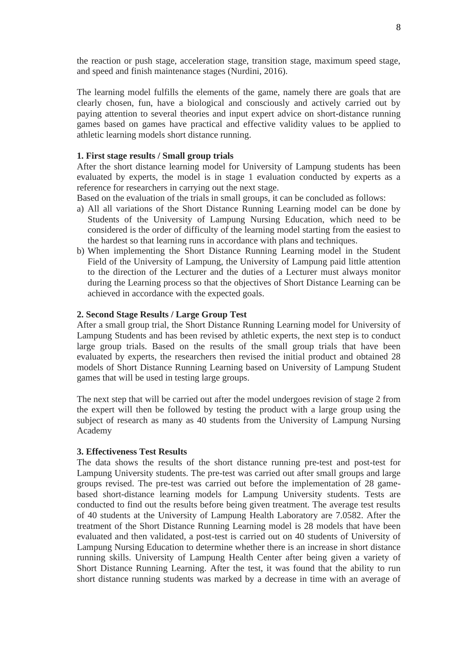the reaction or push stage, acceleration stage, transition stage, maximum speed stage, and speed and finish maintenance stages (Nurdini, 2016).

The learning model fulfills the elements of the game, namely there are goals that are clearly chosen, fun, have a biological and consciously and actively carried out by paying attention to several theories and input expert advice on short-distance running games based on games have practical and effective validity values to be applied to athletic learning models short distance running.

### **1. First stage results / Small group trials**

After the short distance learning model for University of Lampung students has been evaluated by experts, the model is in stage 1 evaluation conducted by experts as a reference for researchers in carrying out the next stage.

Based on the evaluation of the trials in small groups, it can be concluded as follows:

- a) All all variations of the Short Distance Running Learning model can be done by Students of the University of Lampung Nursing Education, which need to be considered is the order of difficulty of the learning model starting from the easiest to the hardest so that learning runs in accordance with plans and techniques.
- b) When implementing the Short Distance Running Learning model in the Student Field of the University of Lampung, the University of Lampung paid little attention to the direction of the Lecturer and the duties of a Lecturer must always monitor during the Learning process so that the objectives of Short Distance Learning can be achieved in accordance with the expected goals.

#### **2. Second Stage Results / Large Group Test**

After a small group trial, the Short Distance Running Learning model for University of Lampung Students and has been revised by athletic experts, the next step is to conduct large group trials. Based on the results of the small group trials that have been evaluated by experts, the researchers then revised the initial product and obtained 28 models of Short Distance Running Learning based on University of Lampung Student games that will be used in testing large groups.

The next step that will be carried out after the model undergoes revision of stage 2 from the expert will then be followed by testing the product with a large group using the subject of research as many as 40 students from the University of Lampung Nursing Academy

# **3. Effectiveness Test Results**

The data shows the results of the short distance running pre-test and post-test for Lampung University students. The pre-test was carried out after small groups and large groups revised. The pre-test was carried out before the implementation of 28 gamebased short-distance learning models for Lampung University students. Tests are conducted to find out the results before being given treatment. The average test results of 40 students at the University of Lampung Health Laboratory are 7.0582. After the treatment of the Short Distance Running Learning model is 28 models that have been evaluated and then validated, a post-test is carried out on 40 students of University of Lampung Nursing Education to determine whether there is an increase in short distance running skills. University of Lampung Health Center after being given a variety of Short Distance Running Learning. After the test, it was found that the ability to run short distance running students was marked by a decrease in time with an average of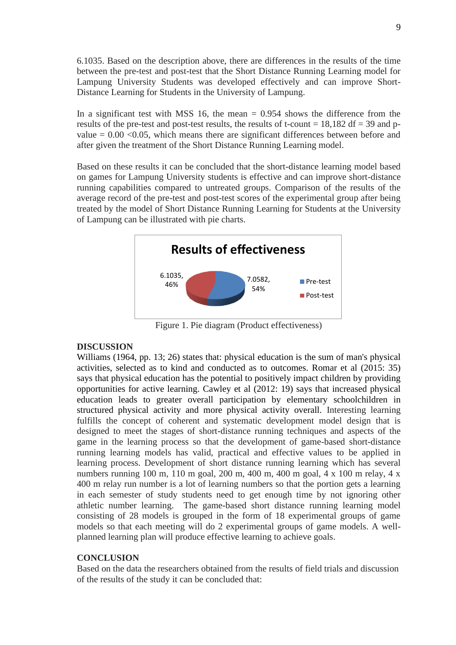6.1035. Based on the description above, there are differences in the results of the time between the pre-test and post-test that the Short Distance Running Learning model for Lampung University Students was developed effectively and can improve Short-Distance Learning for Students in the University of Lampung.

In a significant test with MSS 16, the mean  $= 0.954$  shows the difference from the results of the pre-test and post-test results, the results of t-count =  $18.182$  df = 39 and pvalue  $= 0.00 \le 0.05$ , which means there are significant differences between before and after given the treatment of the Short Distance Running Learning model.

Based on these results it can be concluded that the short-distance learning model based on games for Lampung University students is effective and can improve short-distance running capabilities compared to untreated groups. Comparison of the results of the average record of the pre-test and post-test scores of the experimental group after being treated by the model of Short Distance Running Learning for Students at the University of Lampung can be illustrated with pie charts.



Figure 1. Pie diagram (Product effectiveness)

# **DISCUSSION**

Williams (1964, pp. 13; 26) states that: physical education is the sum of man's physical activities, selected as to kind and conducted as to outcomes. Romar et al (2015: 35) says that physical education has the potential to positively impact children by providing opportunities for active learning. Cawley et al (2012: 19) says that increased physical education leads to greater overall participation by elementary schoolchildren in structured physical activity and more physical activity overall. Interesting learning fulfills the concept of coherent and systematic development model design that is designed to meet the stages of short-distance running techniques and aspects of the game in the learning process so that the development of game-based short-distance running learning models has valid, practical and effective values to be applied in learning process. Development of short distance running learning which has several numbers running 100 m, 110 m goal, 200 m, 400 m, 400 m goal, 4 x 100 m relay, 4 x 400 m relay run number is a lot of learning numbers so that the portion gets a learning in each semester of study students need to get enough time by not ignoring other athletic number learning. The game-based short distance running learning model consisting of 28 models is grouped in the form of 18 experimental groups of game models so that each meeting will do 2 experimental groups of game models. A wellplanned learning plan will produce effective learning to achieve goals.

# **CONCLUSION**

Based on the data the researchers obtained from the results of field trials and discussion of the results of the study it can be concluded that: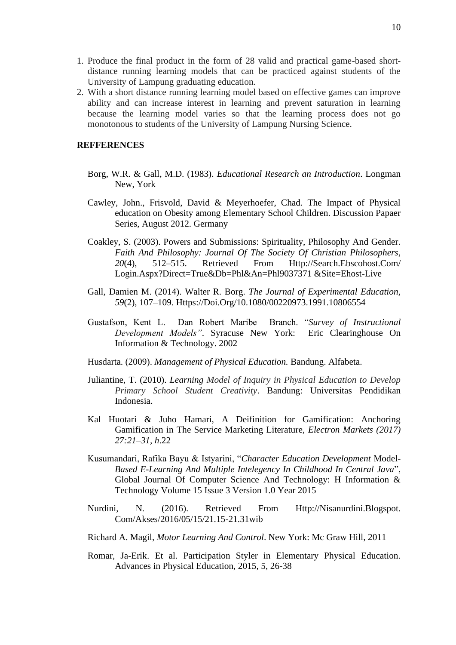- 1. Produce the final product in the form of 28 valid and practical game-based shortdistance running learning models that can be practiced against students of the University of Lampung graduating education.
- 2. With a short distance running learning model based on effective games can improve ability and can increase interest in learning and prevent saturation in learning because the learning model varies so that the learning process does not go monotonous to students of the University of Lampung Nursing Science.

# **REFFERENCES**

- Borg, W.R. & Gall, M.D. (1983). *Educational Research an Introduction*. Longman New, York
- Cawley, John., Frisvold, David & Meyerhoefer, Chad. The Impact of Physical education on Obesity among Elementary School Children. Discussion Papaer Series, August 2012. Germany
- Coakley, S. (2003). Powers and Submissions: Spirituality, Philosophy And Gender. *Faith And Philosophy: Journal Of The Society Of Christian Philosophers*, *20*(4), 512–515. Retrieved From [Http://Search.Ebscohost.Com/](http://search.ebscohost.com/) Login.Aspx?Direct=True&Db=Phl&An=Phl9037371 &Site=Ehost-Live
- Gall, Damien M. (2014). Walter R. Borg. *The Journal of Experimental Education*, *59*(2), 107–109. Https://Doi.Org/10.1080/00220973.1991.10806554
- Gustafson, Kent L. Dan Robert Maribe Branch. "*Survey of Instructional Development Models"*. Syracuse New York: Eric Clearinghouse On Information & Technology. 2002
- Husdarta. (2009). *Management of Physical Education.* Bandung. Alfabeta.
- Juliantine, T. (2010). *Learning Model of Inquiry in Physical Education to Develop Primary School Student Creativity*. Bandung: Universitas Pendidikan Indonesia.
- Kal Huotari & Juho Hamari, A Deifinition for Gamification: Anchoring Gamification in The Service Marketing Literature, *Electron Markets (2017) 27:21–31, h*.22
- Kusumandari, Rafika Bayu & Istyarini, "*Character Education Development* Model*-Based E-Learning And Multiple Intelegency In Childhood In Central Java*", Global Journal Of Computer Science And Technology: H Information & Technology Volume 15 Issue 3 Version 1.0 Year 2015
- Nurdini, N. (2016). Retrieved From [Http://Nisanurdini.Blogspot.](http://nisanurdini.blogspot/) Com/Akses/2016/05/15/21.15-21.31wib
- Richard A. Magil, *Motor Learning And Control*. New York: Mc Graw Hill, 2011
- Romar, Ja-Erik. Et al. Participation Styler in Elementary Physical Education. Advances in Physical Education, 2015, 5, 26-38